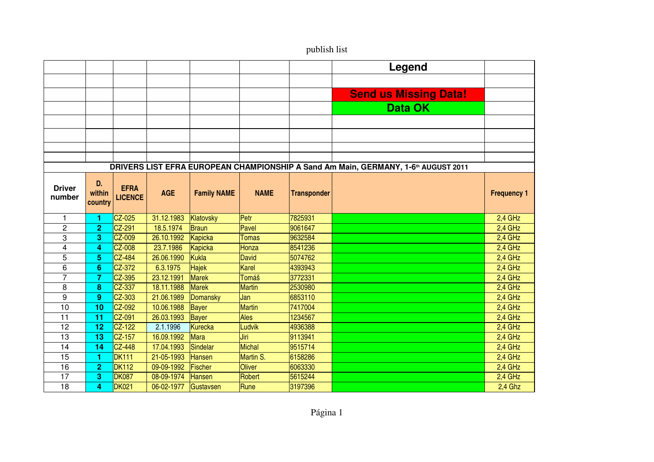|                         |                         |                               |            |                    |              |                    | Legend                                                                                         |                    |
|-------------------------|-------------------------|-------------------------------|------------|--------------------|--------------|--------------------|------------------------------------------------------------------------------------------------|--------------------|
|                         |                         |                               |            |                    |              |                    |                                                                                                |                    |
|                         |                         |                               |            |                    |              |                    | <b>Send us Missing Data!</b>                                                                   |                    |
|                         |                         |                               |            |                    |              |                    | <b>Data OK</b>                                                                                 |                    |
|                         |                         |                               |            |                    |              |                    |                                                                                                |                    |
|                         |                         |                               |            |                    |              |                    |                                                                                                |                    |
|                         |                         |                               |            |                    |              |                    |                                                                                                |                    |
|                         |                         |                               |            |                    |              |                    |                                                                                                |                    |
|                         |                         |                               |            |                    |              |                    | DRIVERS LIST EFRA EUROPEAN CHAMPIONSHIP A Sand Am Main, GERMANY, 1-6 <sup>th</sup> AUGUST 2011 |                    |
| <b>Driver</b><br>number | D.<br>within<br>country | <b>EFRA</b><br><b>LICENCE</b> | <b>AGE</b> | <b>Family NAME</b> | <b>NAME</b>  | <b>Transponder</b> |                                                                                                | <b>Frequency 1</b> |
| 1                       | 1                       | CZ-025                        | 31.12.1983 | Klatovsky          | Per          | 7825931            |                                                                                                | $2,4$ GHz          |
| $\overline{2}$          | $\overline{2}$          | $CZ-291$                      | 18.5.1974  | Braun              | Pavel        | 9061647            |                                                                                                | $2,4$ GHz          |
| 3                       | 3                       | CZ-009                        | 26.10.1992 | <b>Kapicka</b>     | <b>Tomas</b> | 9632584            |                                                                                                | $2,4$ GHz          |
| 4                       | 4                       | <b>CZ-008</b>                 | 23.7.1986  | <b>Kapicka</b>     | Honza        | 8541236            |                                                                                                | 2,4 GHz            |
| 5                       | 5                       | $CZ-484$                      | 26.06.1990 | Kukla              | David        | 5074762            |                                                                                                | 2,4 GHz            |
| 6                       | 6                       | CZ-372                        | 6.3.1975   | <b>Hajek</b>       | Karel        | 4393943            |                                                                                                | 2,4 GHz            |
| $\overline{7}$          | 7                       | CZ-395                        | 23.12.1991 | Marek              | <b>Tomáš</b> | 3772331            |                                                                                                | 2,4 GHz            |
| 8                       | 8                       | CZ-337                        | 18.11.1988 | <b>Marek</b>       | Martin       | 2530980            |                                                                                                | 2,4 GHz            |
| 9                       | 9                       | $CZ-303$                      | 21.06.1989 | <b>Domansky</b>    | IJan         | 6853110            |                                                                                                | 2,4 GHz            |
| 10                      | 10                      | CZ-092                        | 10.06.1988 | Bayer              | Martin       | 7417004            |                                                                                                | $2,4$ GHz          |
| 11                      | 11                      | $CZ-091$                      | 26.03.1993 | Bayer              | Ales         | 1234567            |                                                                                                | $2,4$ GHz          |
| 12                      | 12                      | $CZ-122$                      | 2.1.1996   | Kurecka            | Ludvik       | 4936388            |                                                                                                | 2,4 GHz            |
| 13                      | 13                      | $CZ-157$                      | 16.09.1992 | <b>Mara</b>        | Jiri         | 9113941            |                                                                                                | 2,4 GHz            |
| 14                      | 14                      | $CZ-448$                      | 17.04.1993 | Sindelar           | Michal       | 9515714            |                                                                                                | 2,4 GHz            |
| 15                      | 1                       | <b>DK111</b>                  | 21-05-1993 | <b>Hansen</b>      | Martin S.    | 6158286            |                                                                                                | 2,4 GHz            |
| 16                      | $\mathbf{2}$            | <b>DK112</b>                  | 09-09-1992 | Fischer            | Oliver       | 6063330            |                                                                                                | 2,4 GHz            |
| 17                      | 3                       | <b>DK087</b>                  | 08-09-1974 | <b>Hansen</b>      | Robert       | 5615244            |                                                                                                | 2,4 GHz            |
| 18                      | 4                       | <b>DK021</b>                  | 06-02-1977 | Gustavsen          | Rune         | 3197396            |                                                                                                | 2,4 Ghz            |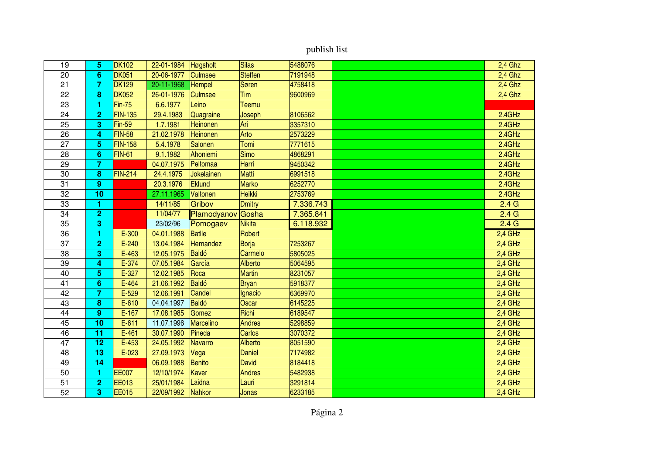| 19 | 5                | <b>DK102</b>   | 22-01-1984 | <b>Høgsholt</b> | Silas          | 5488076   | $2,4$ Ghz        |
|----|------------------|----------------|------------|-----------------|----------------|-----------|------------------|
| 20 | 6                | <b>DK051</b>   | 20-06-1977 | <b>Culmsee</b>  | <b>Steffen</b> | 7191948   | $2,4$ Ghz        |
| 21 | $\overline{7}$   | <b>DK129</b>   | 20-11-1968 | <b>Hempel</b>   | Søren          | 4758418   | $2,4$ Ghz        |
| 22 | 8                | <b>DK052</b>   | 26-01-1976 | <b>Culmsee</b>  | Tim            | 9600969   | $2,4$ Ghz        |
| 23 | 1                | $Fin-75$       | 6.6.1977   | Leino           | Teemu          |           |                  |
| 24 | $\overline{2}$   | <b>FIN-135</b> | 29.4.1983  | Quagraine       | Joseph         | 8106562   | 2.4GHz           |
| 25 | 3                | $Fin-59$       | 1.7.1981   | Heinonen        | Ari            | 3357310   | 2.4GHz           |
| 26 | 4                | FIN-58         | 21.02.1978 | Heinonen        | Arto           | 2573229   | 2.4GHz           |
| 27 | 5                | <b>FIN-158</b> | 5.4.1978   | Salonen         | Tomi           | 7771615   | 2.4GHz           |
| 28 | $6\phantom{1}$   | <b>FIN-61</b>  | 9.1.1982   | Ahoniemi        | Simo           | 4868291   | 2.4GHz           |
| 29 | $\overline{7}$   |                | 04.07.1975 | Peltomaa        | Harri          | 9450342   | 2.4GHz           |
| 30 | 8                | <b>FIN-214</b> | 24.4.1975  | Jokelainen      | Matti          | 6991518   | 2.4GHz           |
| 31 | $\boldsymbol{9}$ |                | 20.3.1976  | Eklund          | Marko          | 6252770   | 2.4GHz           |
| 32 | 10               |                | 27.11.1965 | Valtonen        | <b>Heikki</b>  | 2753769   | 2.4GHz           |
| 33 | 1                |                | 14/11/85   | Gribov          | <b>Dmitry</b>  | 7.336.743 | 2.4 <sub>G</sub> |
| 34 | $\overline{2}$   |                | 11/04/77   | Plamodyanov     | Gosha          | 7.365.841 | 2.4 <sub>G</sub> |
| 35 | 3                |                | 23/02/96   | Pomogaev        | Nikita         | 6.118.932 | 2.4 <sub>G</sub> |
| 36 | 1                | $E-300$        | 04.01.1988 | <b>Batlle</b>   | Robert         |           | $2,4$ GHz        |
| 37 | $\overline{2}$   | $E - 240$      | 13.04.1984 | Hernandez       | Borja          | 7253267   | 2,4 GHz          |
| 38 | 3                | $E-463$        | 12.05.1975 | Baldó           | Carmelo        | 5805025   | $2,4$ GHz        |
| 39 | 4                | E-374          | 07.05.1984 | García          | Alberto        | 5064595   | $2,4$ GHz        |
| 40 | 5                | E-327          | 12.02.1985 | Roca            | Martin         | 8231057   | 2,4 GHz          |
| 41 | $6\phantom{1}6$  | $E-464$        | 21.06.1992 | Baldó           | <b>Bryan</b>   | 5918377   | $2,4$ GHz        |
| 42 | $\overline{7}$   | $E-529$        | 12.06.1991 | Candel          | Ignacio        | 6369970   | $2,4$ GHz        |
| 43 | 8                | $E-610$        | 04.04.1997 | Baldó           | Oscar          | 6145225   | $2,4$ GHz        |
| 44 | $\boldsymbol{9}$ | $E-167$        | 17.08.1985 | Gomez           | Richi          | 6189547   | 2,4 GHz          |
| 45 | 10               | $E-611$        | 11.07.1996 | Marcelino       | Andres         | 5298859   | 2,4 GHz          |
| 46 | 11               | $E-461$        | 30.07.1990 | Pineda          | <b>Carlos</b>  | 3070372   | $2,4$ GHz        |
| 47 | 12               | $E-453$        | 24.05.1992 | <b>Navarro</b>  | Alberto        | 8051590   | $2,4$ GHz        |
| 48 | 13               | $E-023$        | 27.09.1973 | Vega            | Daniel         | 7174982   | $2,4$ GHz        |
| 49 | 14               |                | 06.09.1988 | Benito          | <b>David</b>   | 8184418   | $2,4$ GHz        |
| 50 | 1                | <b>EE007</b>   | 12/10/1974 | Kaver           | <b>Andres</b>  | 5482938   | 2,4 GHz          |
| 51 | $\overline{2}$   | <b>EE013</b>   | 25/01/1984 | Laidna          | Lauri          | 3291814   | 2,4 GHz          |
| 52 | 3                | <b>EE015</b>   | 22/09/1992 | Nahkor          | <b>Jonas</b>   | 6233185   | 2,4 GHz          |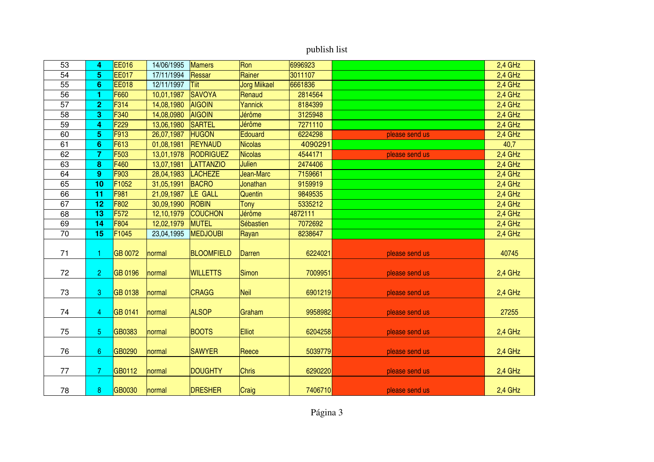| 53 | 4                | <b>EE016</b>     | 14/06/1995 | <b>Mamers</b>     | Ron                 | 6996923 |                | $2,4$ GHz |
|----|------------------|------------------|------------|-------------------|---------------------|---------|----------------|-----------|
| 54 | 5                | <b>EE017</b>     | 17/11/1994 | Ressar            | Rainer              | 3011107 |                | $2,4$ GHz |
| 55 | $6\phantom{1}6$  | <b>EE018</b>     | 12/11/1997 | Tiit              | <b>Jorg Miikael</b> | 6661836 |                | $2,4$ GHz |
| 56 | 1                | F660             | 10,01,1987 | <b>SAVOYA</b>     | Renaud              | 2814564 |                | 2,4 GHz   |
| 57 | $\overline{2}$   | F314             | 14,08,1980 | <b>AIGOIN</b>     | Yannick             | 8184399 |                | 2,4 GHz   |
| 58 | 3                | F340             | 14,08,0980 | <b>AIGOIN</b>     | Jérôme              | 3125948 |                | 2,4 GHz   |
| 59 | 4                | F <sub>229</sub> | 13,06,1980 | <b>SARTEL</b>     | Jérôme              | 7271110 |                | $2,4$ GHz |
| 60 | 5                | F913             | 26,07,1987 | <b>HUGON</b>      | Edouard             | 6224298 | please send us | $2,4$ GHz |
| 61 | $6\phantom{1}6$  | F613             | 01,08,1981 | <b>REYNAUD</b>    | <b>Nicolas</b>      | 4090291 |                | 40,7      |
| 62 | $\overline{7}$   | F <sub>503</sub> | 13,01,1978 | RODRIGUEZ         | <b>Nicolas</b>      | 4544171 | please send us | $2,4$ GHz |
| 63 | 8                | F460             | 13,07,1981 | LATTANZIO         | <b>Julien</b>       | 2474406 |                | $2,4$ GHz |
| 64 | 9                | F903             | 28,04,1983 | <b>LACHEZE</b>    | Jean-Marc           | 7159661 |                | 2,4 GHz   |
| 65 | 10               | F1052            | 31,05,1991 | <b>BACRO</b>      | Jonathan            | 9159919 |                | $2,4$ GHz |
| 66 | 11               | F981             | 21,09,1987 | LE GALL           | Quentin             | 9849535 |                | 2,4 GHz   |
| 67 | 12               | F802             | 30,09,1990 | <b>ROBIN</b>      | Tony                | 5335212 |                | 2,4 GHz   |
| 68 | 13               | F <sub>572</sub> | 12,10,1979 | <b>COUCHON</b>    | Jérôme              | 4872111 |                | 2,4 GHz   |
| 69 | 14               | F804             | 12,02,1979 | <b>MUTEL</b>      | Sébastien           | 7072692 |                | $2,4$ GHz |
| 70 | 15               | F1045            | 23,04,1995 | <b>MEDJOUBI</b>   | Rayan               | 8238647 |                | $2,4$ GHz |
| 71 |                  | <b>GB 0072</b>   | normal     | <b>BLOOMFIELD</b> | Darren              | 6224021 | please send us | 40745     |
| 72 | 2                | <b>GB 0196</b>   | normal     | <b>WILLETTS</b>   | Simon               | 7009951 | please send us | $2,4$ GHz |
| 73 | 3                | <b>GB 0138</b>   | normal     | <b>CRAGG</b>      | <b>Neil</b>         | 6901219 | please send us | $2,4$ GHz |
| 74 | 4                | <b>GB 0141</b>   | normal     | <b>ALSOP</b>      | Graham              | 9958982 | please send us | 27255     |
| 75 | $\overline{5}$   | GB0383           | normal     | <b>BOOTS</b>      | <b>Elliot</b>       | 6204258 | please send us | $2,4$ GHz |
| 76 | $\boldsymbol{6}$ | GB0290           | normal     | <b>SAWYER</b>     | Reece               | 5039779 | please send us | 2,4 GHz   |
| 77 | 7                | GB0112           | normal     | <b>DOUGHTY</b>    | <b>Chris</b>        | 6290220 | please send us | 2,4 GHz   |
| 78 | 8                | GB0030           | normal     | <b>DRESHER</b>    | Craig               | 7406710 | please send us | 2,4 GHz   |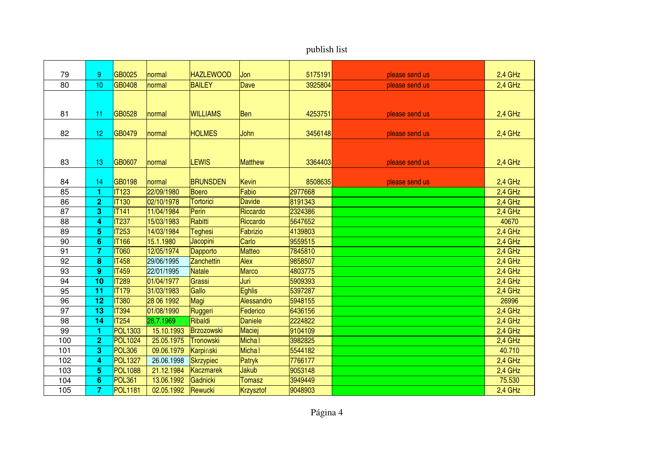| publish list |
|--------------|
|              |

| 79       | 9                       | GB0025                       | normal                   | <b>HAZLEWOOD</b>          | Jon                    | 5175191            | please send us | 2,4 GHz            |
|----------|-------------------------|------------------------------|--------------------------|---------------------------|------------------------|--------------------|----------------|--------------------|
| 80       | 10                      | GB0408                       | normal                   | <b>BAILEY</b>             | Dave                   | 3925804            | please send us | 2,4 GHz            |
|          |                         |                              |                          |                           |                        |                    |                |                    |
|          |                         |                              |                          |                           |                        |                    |                |                    |
| 81       | 11                      | GB0528                       | normal                   | <b>WILLIAMS</b>           | <b>Ben</b>             | 4253751            | please send us | $2,4$ GHz          |
|          |                         |                              |                          |                           |                        |                    |                |                    |
| 82       | 12                      | GB0479                       | normal                   | <b>HOLMES</b>             | John                   | 3456148            | please send us | $2,4$ GHz          |
|          |                         |                              |                          |                           |                        |                    |                |                    |
|          |                         |                              |                          |                           |                        |                    |                |                    |
| 83       | 13                      | GB0607                       | normal                   | <b>LEWIS</b>              | <b>Matthew</b>         | 3364403            | please send us | 2,4 GHz            |
|          |                         |                              |                          |                           |                        |                    |                |                    |
| 84       | 14                      | GB0198                       | normal                   | <b>BRUNSDEN</b>           | Kevin                  | 8508635            | please send us | 2,4 GHz            |
| 85       | 1                       | <b>IT123</b><br><b>IT130</b> | 22/09/1980<br>02/10/1978 | Boero<br><b>Tortorici</b> | Fabio<br><b>Davide</b> | 2977668<br>8191343 |                | 2,4 GHz<br>2,4 GHz |
| 86<br>87 | $\overline{2}$<br>3     | <b>IT141</b>                 | 11/04/1984               | Perin                     | Riccardo               | 2324386            |                | $2,4$ GHz          |
|          |                         | <b>IT237</b>                 | 15/03/1983               | Rabitti                   | Riccardo               | 5647652            |                | 40670              |
| 88       | 4<br>5                  |                              |                          |                           |                        |                    |                |                    |
| 89       |                         | <b>IT253</b>                 | 14/03/1984               | <b>Teghesi</b>            | <b>Fabrizio</b>        | 4139803            |                | 2,4 GHz            |
| 90       | $6\phantom{1}6$         | <b>IT166</b>                 | 15.1.1980                | Jacopini                  | Carlo                  | 9559515            |                | 2,4 GHz            |
| 91       | $\overline{7}$          | <b>IT060</b>                 | 12/05/1974               | Dapporto                  | <b>Matteo</b>          | 7845810            |                | 2,4 GHz            |
| 92       | 8                       | <b>IT458</b>                 | 29/06/1995               | Zanchettin                | Alex                   | 9858507            |                | 2,4 GHz            |
| 93       | $\boldsymbol{9}$        | <b>IT459</b>                 | 22/01/1995               | Natale                    | <b>Marco</b>           | 4803775            |                | $2,4$ GHz          |
| 94       | 10                      | <b>IT289</b>                 | 01/04/1977               | Grassi                    | Juri                   | 5909393            |                | 2,4 GHz            |
| 95       | 11                      | <b>IT179</b>                 | 31/03/1983               | Gallo                     | <b>Eghlis</b>          | 5397287            |                | 2,4 GHz            |
| 96       | 12                      | <b>IT380</b>                 | 28 06 1992               | Magi                      | Alessandro             | 5948155            |                | 26996              |
| 97       | 13                      | <b>IT394</b>                 | 01/08/1990               | Ruggeri                   | Federico               | 6436156            |                | 2,4 GHz            |
| 98       | 14                      | <b>IT254</b>                 | 28.7.1969                | Ribaldi                   | <b>Daniele</b>         | 2224822            |                | 2,4 GHz            |
| 99       | 1                       | <b>POL1303</b>               | 15.10.1993               | Brzozowski                | Maciej                 | 9104109            |                | $2,4$ GHz          |
| 100      | $\overline{2}$          | <b>POL1024</b>               | 25.05.1975               | <b>Tronowski</b>          | <b>Micha1</b>          | 3982825            |                | $2,4$ GHz          |
| 101      | 3                       | <b>POL306</b>                | 09.06.1979               | Karpiński                 | <b>Micha1</b>          | 5544182            |                | 40.710             |
| 102      | $\overline{\mathbf{r}}$ | <b>POL1327</b>               | 26.06.1998               | <b>Skrzypiec</b>          | Patryk                 | 7766177            |                | 2,4 GHz            |
| 103      | 5                       | <b>POL1088</b>               | 21.12.1984               | Kaczmarek                 | <b>Jakub</b>           | 9053148            |                | 2,4 GHz            |
| 104      | $6\phantom{1}6$         | <b>POL361</b>                | 13.06.1992               | Gadnicki                  | <b>Tomasz</b>          | 3949449            |                | 75.530             |
| 105      | 7                       | <b>POL1181</b>               | 02.05.1992               | Rewucki                   | Krzysztof              | 9048903            |                | 2,4 GHz            |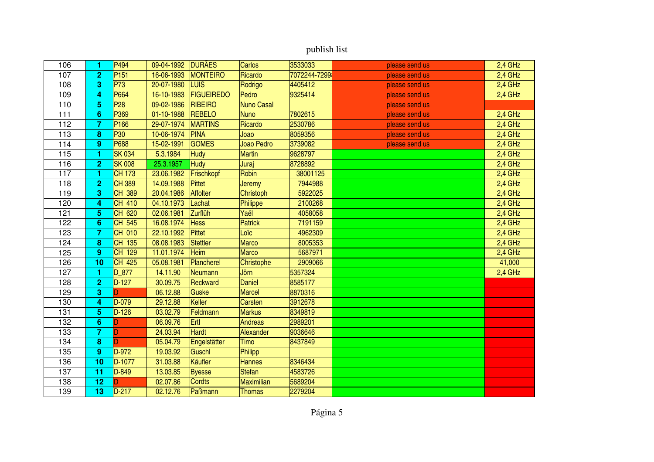| 106 | 1                       | P494             | 09-04-1992 | <b>DURAES</b>     | <b>Carlos</b>     | 3533033      | please send us | 2,4 GHz   |
|-----|-------------------------|------------------|------------|-------------------|-------------------|--------------|----------------|-----------|
| 107 | $\overline{2}$          | P <sub>151</sub> | 16-06-1993 | MONTEIRO          | Ricardo           | 7072244-7299 | please send us | $2,4$ GHz |
| 108 | 3                       | P73              | 20-07-1980 | LUIS              | Rodrigo           | 4405412      | please send us | $2,4$ GHz |
| 109 | 4                       | P664             | 16-10-1983 | <b>FIGUEIREDO</b> | Pedro             | 9325414      | please send us | 2,4 GHz   |
| 110 | 5                       | P <sub>28</sub>  | 09-02-1986 | RIBEIRO           | Nuno Casal        |              | please send us |           |
| 111 | 6                       | P369             | 01-10-1988 | <b>REBELO</b>     | <b>Nuno</b>       | 7802615      | please send us | 2,4 GHz   |
| 112 | $\overline{7}$          | P <sub>166</sub> | 29-07-1974 | <b>MARTINS</b>    | Ricardo           | 2530786      | please send us | 2,4 GHz   |
| 113 | 8                       | P30              | 10-06-1974 | PINA              | Joao              | 8059356      | please send us | $2,4$ GHz |
| 114 | 9                       | P688             | 15-02-1991 | <b>GOMES</b>      | Joao Pedro        | 3739082      | please send us | 2,4 GHz   |
| 115 | 1                       | <b>SK 034</b>    | 5.3.1984   | <b>Hudy</b>       | <b>Martin</b>     | 9628797      |                | 2,4 GHz   |
| 116 | $\overline{2}$          | <b>SK 008</b>    | 25.3.1957  | <b>Hudy</b>       | Juraj             | 8728892      |                | 2,4 GHz   |
| 117 | 1                       | <b>CH 173</b>    | 23.06.1982 | Frischkopf        | Robin             | 38001125     |                | 2,4 GHz   |
| 118 | $\overline{2}$          | <b>CH 389</b>    | 14.09.1988 | Pittet            | Jeremy            | 7944988      |                | $2,4$ GHz |
| 119 | 3                       | CH 389           | 20.04.1986 | <b>Affolter</b>   | Christoph         | 5922025      |                | 2,4 GHz   |
| 120 | 4                       | CH 410           | 04.10.1973 | Lachat            | Philippe          | 2100268      |                | 2,4 GHz   |
| 121 | 5                       | CH 620           | 02.06.1981 | Zurflüh           | Yaël              | 4058058      |                | 2,4 GHz   |
| 122 | $6\phantom{1}6$         | CH 545           | 16.08.1974 | <b>Hess</b>       | <b>Patrick</b>    | 7191159      |                | 2,4 GHz   |
| 123 | $\overline{7}$          | CH 010           | 22.10.1992 | Pittet            | Loïc              | 4962309      |                | 2,4 GHz   |
| 124 | 8                       | 135<br><b>CH</b> | 08.08.1983 | Stettler          | <b>Marco</b>      | 8005353      |                | $2,4$ GHz |
| 125 | $\boldsymbol{9}$        | 129<br><b>CH</b> | 11.01.1974 | Heim              | <b>Marco</b>      | 5687971      |                | 2,4 GHz   |
| 126 | 10                      | CH 425           | 05.08.1981 | Plancherel        | Christophe        | 2909066      |                | 41,000    |
| 127 | 1                       | $D_877$          | 14.11.90   | Neumann           | Jörn              | 5357324      |                | 2,4 GHz   |
| 128 | $\overline{\mathbf{c}}$ | $D-127$          | 30.09.75   | Reckward          | <b>Daniel</b>     | 8585177      |                |           |
| 129 | 3                       |                  | 06.12.88   | Guske             | <b>Marcel</b>     | 8870316      |                |           |
| 130 | 4                       | D-079            | 29.12.88   | Keller            | Carsten           | 3912678      |                |           |
| 131 | 5                       | $D-126$          | 03.02.79   | Feldmann          | <b>Markus</b>     | 8349819      |                |           |
| 132 | $6\phantom{1}$          |                  | 06.09.76   | Ertl              | <b>Andreas</b>    | 2989201      |                |           |
| 133 | $\overline{7}$          | D                | 24.03.94   | Hardt             | Alexander         | 9036646      |                |           |
| 134 | 8                       | D                | 05.04.79   | Engelstätter      | Timo              | 8437849      |                |           |
| 135 | 9                       | D-972            | 19.03.92   | Guschl            | Philipp           |              |                |           |
| 136 | 10                      | D-1077           | 31.03.88   | Käufler           | <b>Hannes</b>     | 8346434      |                |           |
| 137 | 11                      | D-849            | 13.03.85   | <b>Byesse</b>     | <b>Stefan</b>     | 4583726      |                |           |
| 138 | 12                      |                  | 02.07.86   | <b>Cordts</b>     | <b>Maximilian</b> | 5689204      |                |           |
| 139 | 13                      | D-217            | 02.12.76   | Paßmann           | <b>Thomas</b>     | 2279204      |                |           |
|     |                         |                  |            |                   |                   |              |                |           |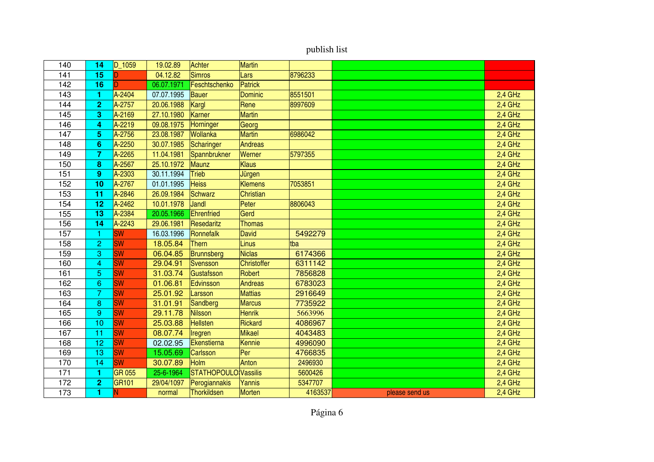| publish list |
|--------------|
|--------------|

| 140 | 14                      | $D_1059$      | 19.02.89   | Achter               | <b>Martin</b>      |         |                |           |
|-----|-------------------------|---------------|------------|----------------------|--------------------|---------|----------------|-----------|
| 141 | 15                      |               | 04.12.82   | Simros               | Lars               | 8796233 |                |           |
| 142 | 16                      |               | 06.07.1971 | Feschtschenko        | <b>Patrick</b>     |         |                |           |
| 143 | 1                       | A-2404        | 07.07.1995 | Bauer                | <b>Dominic</b>     | 8551501 |                | 2,4 GHz   |
| 144 | $\overline{2}$          | A-2757        | 20.06.1988 | Kargl                | Rene               | 8997609 |                | 2,4 GHz   |
| 145 | 3                       | A-2169        | 27.10.1980 | Karner               | <b>Martin</b>      |         |                | $2,4$ GHz |
| 146 | 4                       | A-2219        | 09.08.1975 | Horninger            | Georg              |         |                | $2,4$ GHz |
| 147 | 5                       | A-2756        | 23.08.1987 | Wollanka             | <b>Martin</b>      | 6986042 |                | $2,4$ GHz |
| 148 | 6                       | A-2250        | 30.07.1985 | Scharinger           | <b>Andreas</b>     |         |                | $2,4$ GHz |
| 149 | $\overline{7}$          | A-2265        | 11.04.1981 | Spannbrukner         | Werner             | 5797355 |                | $2,4$ GHz |
| 150 | 8                       | A-2567        | 25.10.1972 | Maunz                | <b>Klaus</b>       |         |                | $2,4$ GHz |
| 151 | $\boldsymbol{9}$        | A-2303        | 30.11.1994 | <b>Trieb</b>         | Jürgen             |         |                | $2,4$ GHz |
| 152 | 10                      | A-2767        | 01.01.1995 | <b>Heiss</b>         | <b>Klemens</b>     | 7053851 |                | $2,4$ GHz |
| 153 | 11                      | A-2846        | 26.09.1984 | Schwarz              | <b>Christian</b>   |         |                | 2,4 GHz   |
| 154 | 12                      | A-2462        | 10.01.1978 | Jandl                | Peter              | 8806043 |                | $2,4$ GHz |
| 155 | 13                      | A-2384        | 20.05.1966 | Ehrenfried           | Gerd               |         |                | $2,4$ GHz |
| 156 | 14                      | A-2243        | 29.06.1981 | Resedaritz           | <b>Thomas</b>      |         |                | 2,4 GHz   |
| 157 | 1                       | <b>SW</b>     | 16.03.1996 | Ronnefalk            | <b>David</b>       | 5492279 |                | $2,4$ GHz |
| 158 | $\overline{c}$          | <b>SW</b>     | 18.05.84   | Thern                | <b>Linus</b>       | tba     |                | 2,4 GHz   |
| 159 | 3                       | <b>SW</b>     | 06.04.85   | Brunnsberg           | <b>Niclas</b>      | 6174366 |                | $2,4$ GHz |
| 160 | $\overline{\mathbf{4}}$ | <b>SW</b>     | 29.04.91   | Svensson             | <b>Christoffer</b> | 6311142 |                | $2,4$ GHz |
| 161 | $\overline{5}$          | <b>SW</b>     | 31.03.74   | Gustafsson           | Robert             | 7856828 |                | 2,4 GHz   |
| 162 | $\mathbf 6$             | <b>SW</b>     | 01.06.81   | Edvinsson            | <b>Andreas</b>     | 6783023 |                | $2,4$ GHz |
| 163 | $\overline{7}$          | <b>SW</b>     | 25.01.92   | Larsson              | <b>Mattias</b>     | 2916649 |                | 2,4 GHz   |
| 164 | 8                       | <b>SW</b>     | 31.01.91   | Sandberg             | <b>Marcus</b>      | 7735922 |                | $2,4$ GHz |
| 165 | 9                       | <b>SW</b>     | 29.11.78   | Nilsson              | <b>Henrik</b>      | 5663996 |                | $2,4$ GHz |
| 166 | 10                      | <b>SW</b>     | 25.03.88   | <b>Hellsten</b>      | Rickard            | 4086967 |                | $2,4$ GHz |
| 167 | 11                      | <b>SW</b>     | 08.07.74   | Iregren              | <b>Mikael</b>      | 4043483 |                | $2,4$ GHz |
| 168 | 12                      | <b>SW</b>     | 02.02.95   | Ekenstierna          | Kennie             | 4996090 |                | 2,4 GHz   |
| 169 | 13                      | <b>SW</b>     | 15.05.69   | <b>Carlsson</b>      | Per                | 4766835 |                | 2,4 GHz   |
| 170 | 14                      | <b>SW</b>     | 30.07.89   | <b>Holm</b>          | Anton              | 2496930 |                | $2,4$ GHz |
| 171 | 1                       | <b>GR 055</b> | 25-6-1964  | STATHOPOULO Vassilis |                    | 5600426 |                | 2,4 GHz   |
| 172 | $\overline{\mathbf{c}}$ | GR101         | 29/04/1097 | Perogiannakis        | Yannis             | 5347707 |                | 2,4 GHz   |
| 173 | 1                       | Ñ             | normal     | <b>Thorkildsen</b>   | <b>Morten</b>      | 4163537 | please send us | 2,4 GHz   |